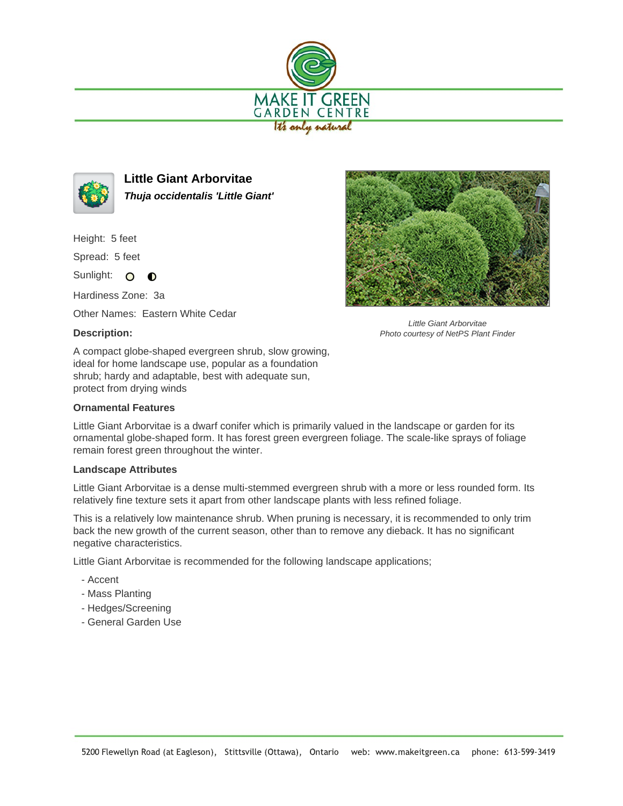



**Little Giant Arborvitae Thuja occidentalis 'Little Giant'**

Height: 5 feet

Spread: 5 feet

Sunlight: O  $\bullet$ 

Hardiness Zone: 3a

Other Names: Eastern White Cedar

## **Description:**

Little Giant Arborvitae Photo courtesy of NetPS Plant Finder

A compact globe-shaped evergreen shrub, slow growing, ideal for home landscape use, popular as a foundation shrub; hardy and adaptable, best with adequate sun, protect from drying winds

## **Ornamental Features**

Little Giant Arborvitae is a dwarf conifer which is primarily valued in the landscape or garden for its ornamental globe-shaped form. It has forest green evergreen foliage. The scale-like sprays of foliage remain forest green throughout the winter.

## **Landscape Attributes**

Little Giant Arborvitae is a dense multi-stemmed evergreen shrub with a more or less rounded form. Its relatively fine texture sets it apart from other landscape plants with less refined foliage.

This is a relatively low maintenance shrub. When pruning is necessary, it is recommended to only trim back the new growth of the current season, other than to remove any dieback. It has no significant negative characteristics.

Little Giant Arborvitae is recommended for the following landscape applications;

- Accent
- Mass Planting
- Hedges/Screening
- General Garden Use